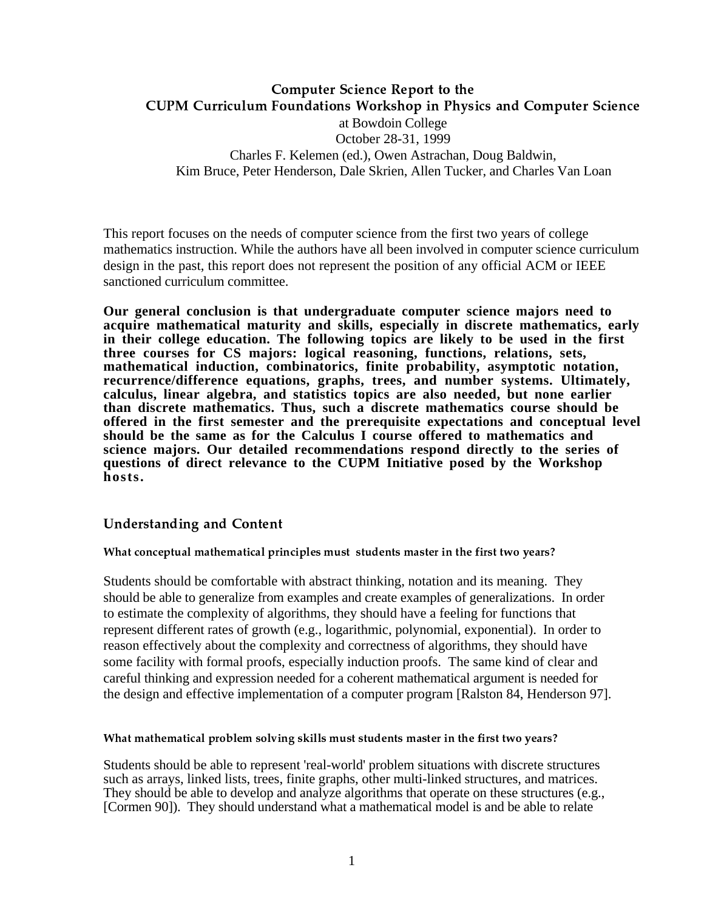## -  - at Bowdoin College October 28-31, 1999 Charles F. Kelemen (ed.), Owen Astrachan, Doug Baldwin, Kim Bruce, Peter Henderson, Dale Skrien, Allen Tucker, and Charles Van Loan

This report focuses on the needs of computer science from the first two years of college mathematics instruction. While the authors have all been involved in computer science curriculum design in the past, this report does not represent the position of any official ACM or IEEE sanctioned curriculum committee.

**Our general conclusion is that undergraduate computer science majors need to acquire mathematical maturity and skills, especially in discrete mathematics, early in their college education. The following topics are likely to be used in the first three courses for CS majors: logical reasoning, functions, relations, sets, mathematical induction, combinatorics, finite probability, asymptotic notation, recurrence/difference equations, graphs, trees, and number systems. Ultimately, calculus, linear algebra, and statistics topics are also needed, but none earlier than discrete mathematics. Thus, such a discrete mathematics course should be offered in the first semester and the prerequisite expectations and conceptual level should be the same as for the Calculus I course offered to mathematics and science majors. Our detailed recommendations respond directly to the series of questions of direct relevance to the CUPM Initiative posed by the Workshop hosts.**

## 

What conceptual mathematical principles must students master in the first two years?

Students should be comfortable with abstract thinking, notation and its meaning. They should be able to generalize from examples and create examples of generalizations. In order to estimate the complexity of algorithms, they should have a feeling for functions that represent different rates of growth (e.g., logarithmic, polynomial, exponential). In order to reason effectively about the complexity and correctness of algorithms, they should have some facility with formal proofs, especially induction proofs. The same kind of clear and careful thinking and expression needed for a coherent mathematical argument is needed for the design and effective implementation of a computer program [Ralston 84, Henderson 97].

What mathematical problem solving skills must students master in the first two years?

Students should be able to represent 'real-world' problem situations with discrete structures such as arrays, linked lists, trees, finite graphs, other multi-linked structures, and matrices. They should be able to develop and analyze algorithms that operate on these structures (e.g., [Cormen 90]). They should understand what a mathematical model is and be able to relate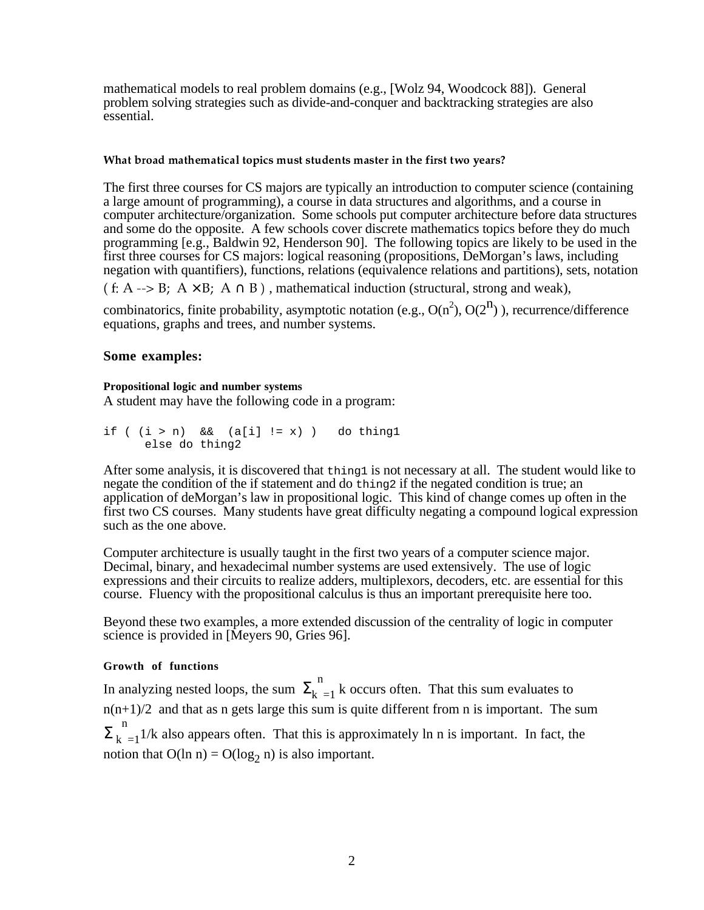mathematical models to real problem domains (e.g., [Wolz 94, Woodcock 88]). General problem solving strategies such as divide-and-conquer and backtracking strategies are also essential.

#### What broad mathematical topics must students master in the first two years?

The first three courses for CS majors are typically an introduction to computer science (containing a large amount of programming), a course in data structures and algorithms, and a course in computer architecture/organization. Some schools put computer architecture before data structures and some do the opposite. A few schools cover discrete mathematics topics before they do much programming [e.g., Baldwin 92, Henderson 90]. The following topics are likely to be used in the first three courses for CS majors: logical reasoning (propositions, DeMorgan's laws, including negation with quantifiers), functions, relations (equivalence relations and partitions), sets, notation  $( f: A \rightarrow B; A \times B; A \cap B)$ , mathematical induction (structural, strong and weak),

combinatorics, finite probability, asymptotic notation (e.g.,  $O(n^2)$ ,  $O(2^n)$ ), recurrence/difference equations, graphs and trees, and number systems.

## **Some examples:**

### **Propositional logic and number systems**

A student may have the following code in a program:

```
if ( (i > n) & (a[i] != x) ) do thing1
     else do thing2
```
After some analysis, it is discovered that thing1 is not necessary at all. The student would like to negate the condition of the if statement and do thing2 if the negated condition is true; an application of deMorgan's law in propositional logic. This kind of change comes up often in the first two CS courses. Many students have great difficulty negating a compound logical expression such as the one above.

Computer architecture is usually taught in the first two years of a computer science major. Decimal, binary, and hexadecimal number systems are used extensively. The use of logic expressions and their circuits to realize adders, multiplexors, decoders, etc. are essential for this course. Fluency with the propositional calculus is thus an important prerequisite here too.

Beyond these two examples, a more extended discussion of the centrality of logic in computer science is provided in [Meyers 90, Gries 96].

## **Growth of functions**

In analyzing nested loops, the sum  $\Sigma_k^{\text{n}}$  $_{=1}$  k occurs often. That this sum evaluates to  $n(n+1)/2$  and that as n gets large this sum is quite different from n is important. The sum  $\Sigma_k^{\binom{n}{k}}$  $_{=1}$ 1/k also appears often. That this is approximately ln n is important. In fact, the notion that  $O(\ln n) = O(\log_2 n)$  is also important.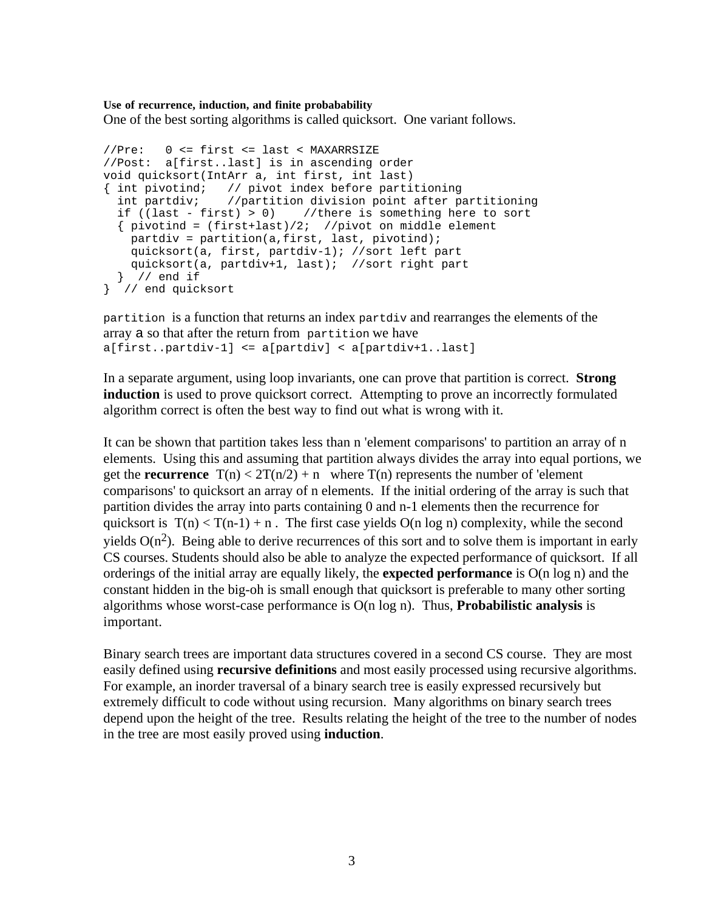#### **Use of recurrence, induction, and finite probabability**

One of the best sorting algorithms is called quicksort. One variant follows.

```
//Pre: 0 <= first <= last < MAXARRSIZE
//Post: a[first..last] is in ascending order
void quicksort(IntArr a, int first, int last)
{ int pivotind; // pivot index before partitioning
   int partdiv; //partition division point after partitioning
  if ((last - first) > 0) //there is something here to sort
   { pivotind = (first+last)/2; //pivot on middle element
   partdiv = partition(a, first, last, pivotind);
    quicksort(a, first, partdiv-1); //sort left part
    quicksort(a, partdiv+1, last); //sort right part
  } // end if
} // end quicksort
```
partition is a function that returns an index partdiv and rearranges the elements of the array a so that after the return from partition we have a[first..partdiv-1] <= a[partdiv] < a[partdiv+1..last]

In a separate argument, using loop invariants, one can prove that partition is correct. **Strong induction** is used to prove quicksort correct. Attempting to prove an incorrectly formulated algorithm correct is often the best way to find out what is wrong with it.

It can be shown that partition takes less than n 'element comparisons' to partition an array of n elements. Using this and assuming that partition always divides the array into equal portions, we get the **recurrence**  $T(n) < 2T(n/2) + n$  where  $T(n)$  represents the number of 'element comparisons' to quicksort an array of n elements. If the initial ordering of the array is such that partition divides the array into parts containing 0 and n-1 elements then the recurrence for quicksort is  $T(n) < T(n-1) + n$ . The first case yields  $O(n \log n)$  complexity, while the second yields  $O(n^2)$ . Being able to derive recurrences of this sort and to solve them is important in early CS courses. Students should also be able to analyze the expected performance of quicksort. If all orderings of the initial array are equally likely, the **expected performance** is O(n log n) and the constant hidden in the big-oh is small enough that quicksort is preferable to many other sorting algorithms whose worst-case performance is O(n log n). Thus, **Probabilistic analysis** is important.

Binary search trees are important data structures covered in a second CS course. They are most easily defined using **recursive definitions** and most easily processed using recursive algorithms. For example, an inorder traversal of a binary search tree is easily expressed recursively but extremely difficult to code without using recursion. Many algorithms on binary search trees depend upon the height of the tree. Results relating the height of the tree to the number of nodes in the tree are most easily proved using **induction**.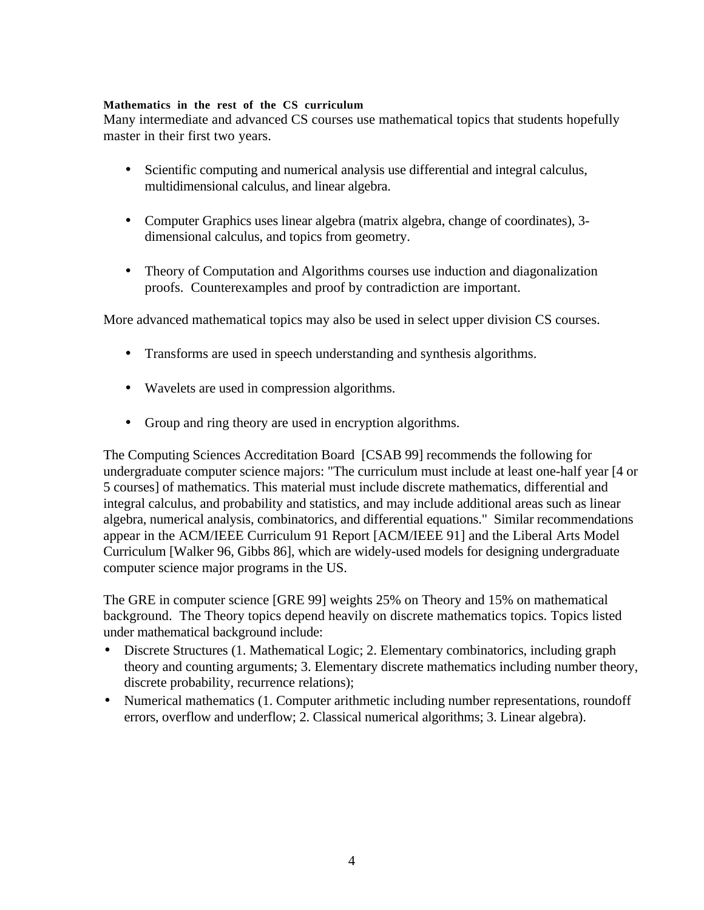### **Mathematics in the rest of the CS curriculum**

Many intermediate and advanced CS courses use mathematical topics that students hopefully master in their first two years.

- Scientific computing and numerical analysis use differential and integral calculus, multidimensional calculus, and linear algebra.
- Computer Graphics uses linear algebra (matrix algebra, change of coordinates), 3 dimensional calculus, and topics from geometry.
- Theory of Computation and Algorithms courses use induction and diagonalization proofs. Counterexamples and proof by contradiction are important.

More advanced mathematical topics may also be used in select upper division CS courses.

- Transforms are used in speech understanding and synthesis algorithms.
- Wavelets are used in compression algorithms.
- Group and ring theory are used in encryption algorithms.

The Computing Sciences Accreditation Board [CSAB 99] recommends the following for undergraduate computer science majors: "The curriculum must include at least one-half year [4 or 5 courses] of mathematics. This material must include discrete mathematics, differential and integral calculus, and probability and statistics, and may include additional areas such as linear algebra, numerical analysis, combinatorics, and differential equations." Similar recommendations appear in the ACM/IEEE Curriculum 91 Report [ACM/IEEE 91] and the Liberal Arts Model Curriculum [Walker 96, Gibbs 86], which are widely-used models for designing undergraduate computer science major programs in the US.

The GRE in computer science [GRE 99] weights 25% on Theory and 15% on mathematical background. The Theory topics depend heavily on discrete mathematics topics. Topics listed under mathematical background include:

- Discrete Structures (1. Mathematical Logic; 2. Elementary combinatorics, including graph theory and counting arguments; 3. Elementary discrete mathematics including number theory, discrete probability, recurrence relations);
- Numerical mathematics (1. Computer arithmetic including number representations, roundoff errors, overflow and underflow; 2. Classical numerical algorithms; 3. Linear algebra).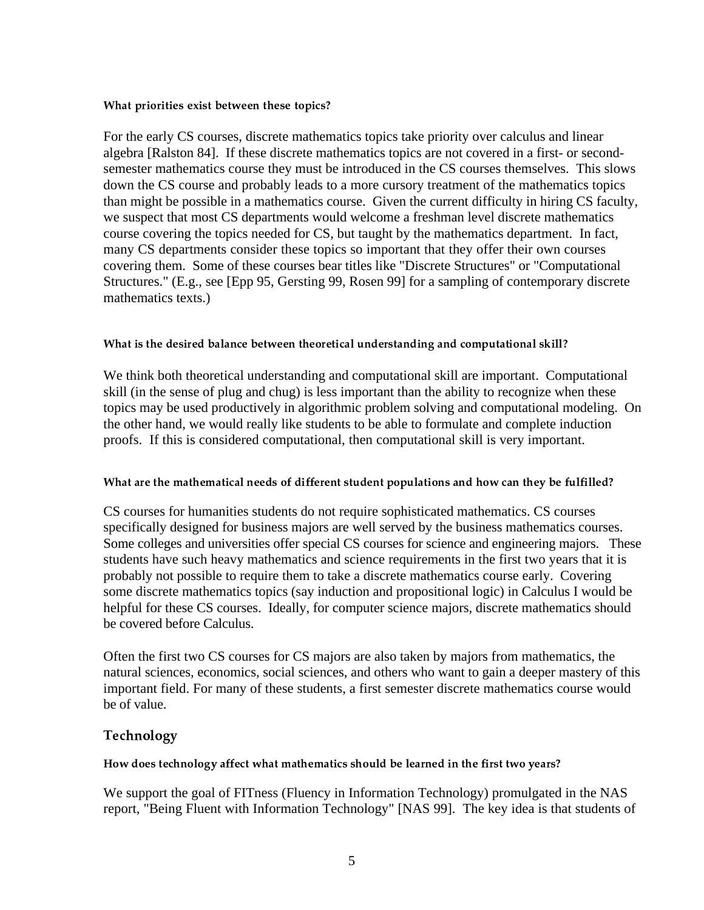#### What priorities exist between these topics?

For the early CS courses, discrete mathematics topics take priority over calculus and linear algebra [Ralston 84]. If these discrete mathematics topics are not covered in a first- or secondsemester mathematics course they must be introduced in the CS courses themselves. This slows down the CS course and probably leads to a more cursory treatment of the mathematics topics than might be possible in a mathematics course. Given the current difficulty in hiring CS faculty, we suspect that most CS departments would welcome a freshman level discrete mathematics course covering the topics needed for CS, but taught by the mathematics department. In fact, many CS departments consider these topics so important that they offer their own courses covering them. Some of these courses bear titles like "Discrete Structures" or "Computational Structures." (E.g., see [Epp 95, Gersting 99, Rosen 99] for a sampling of contemporary discrete mathematics texts.)

### What is the desired balance between theoretical understanding and computational skill?

We think both theoretical understanding and computational skill are important. Computational skill (in the sense of plug and chug) is less important than the ability to recognize when these topics may be used productively in algorithmic problem solving and computational modeling. On the other hand, we would really like students to be able to formulate and complete induction proofs. If this is considered computational, then computational skill is very important.

#### What are the mathematical needs of different student populations and how can they be fulfilled?

CS courses for humanities students do not require sophisticated mathematics. CS courses specifically designed for business majors are well served by the business mathematics courses. Some colleges and universities offer special CS courses for science and engineering majors. These students have such heavy mathematics and science requirements in the first two years that it is probably not possible to require them to take a discrete mathematics course early. Covering some discrete mathematics topics (say induction and propositional logic) in Calculus I would be helpful for these CS courses. Ideally, for computer science majors, discrete mathematics should be covered before Calculus.

Often the first two CS courses for CS majors are also taken by majors from mathematics, the natural sciences, economics, social sciences, and others who want to gain a deeper mastery of this important field. For many of these students, a first semester discrete mathematics course would be of value.

## Technology

## How does technology affect what mathematics should be learned in the first two years?

We support the goal of FITness (Fluency in Information Technology) promulgated in the NAS report, "Being Fluent with Information Technology" [NAS 99]. The key idea is that students of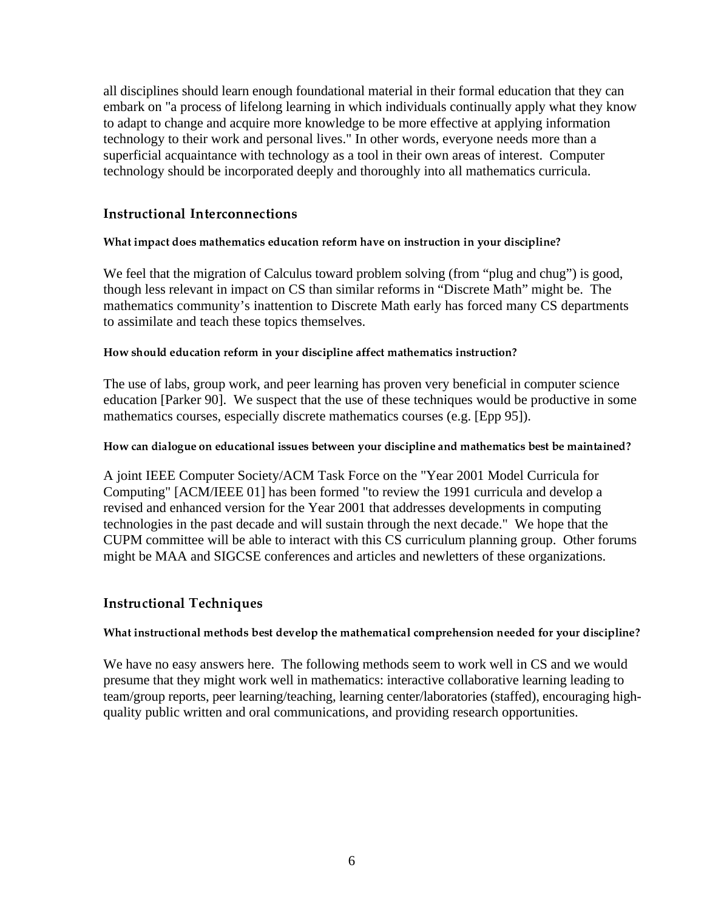all disciplines should learn enough foundational material in their formal education that they can embark on "a process of lifelong learning in which individuals continually apply what they know to adapt to change and acquire more knowledge to be more effective at applying information technology to their work and personal lives." In other words, everyone needs more than a superficial acquaintance with technology as a tool in their own areas of interest. Computer technology should be incorporated deeply and thoroughly into all mathematics curricula.

## > >

### What impact does mathematics education reform have on instruction in your discipline?

We feel that the migration of Calculus toward problem solving (from "plug and chug") is good, though less relevant in impact on CS than similar reforms in "Discrete Math" might be. The mathematics community's inattention to Discrete Math early has forced many CS departments to assimilate and teach these topics themselves.

### How should education reform in your discipline affect mathematics instruction?

The use of labs, group work, and peer learning has proven very beneficial in computer science education [Parker 90]. We suspect that the use of these techniques would be productive in some mathematics courses, especially discrete mathematics courses (e.g. [Epp 95]).

How can dialogue on educational issues between your discipline and mathematics best be maintained?

A joint IEEE Computer Society/ACM Task Force on the "Year 2001 Model Curricula for Computing" [ACM/IEEE 01] has been formed "to review the 1991 curricula and develop a revised and enhanced version for the Year 2001 that addresses developments in computing technologies in the past decade and will sustain through the next decade." We hope that the CUPM committee will be able to interact with this CS curriculum planning group. Other forums might be MAA and SIGCSE conferences and articles and newletters of these organizations.

## > < ?

#### What instructional methods best develop the mathematical comprehension needed for your discipline?

We have no easy answers here. The following methods seem to work well in CS and we would presume that they might work well in mathematics: interactive collaborative learning leading to team/group reports, peer learning/teaching, learning center/laboratories (staffed), encouraging highquality public written and oral communications, and providing research opportunities.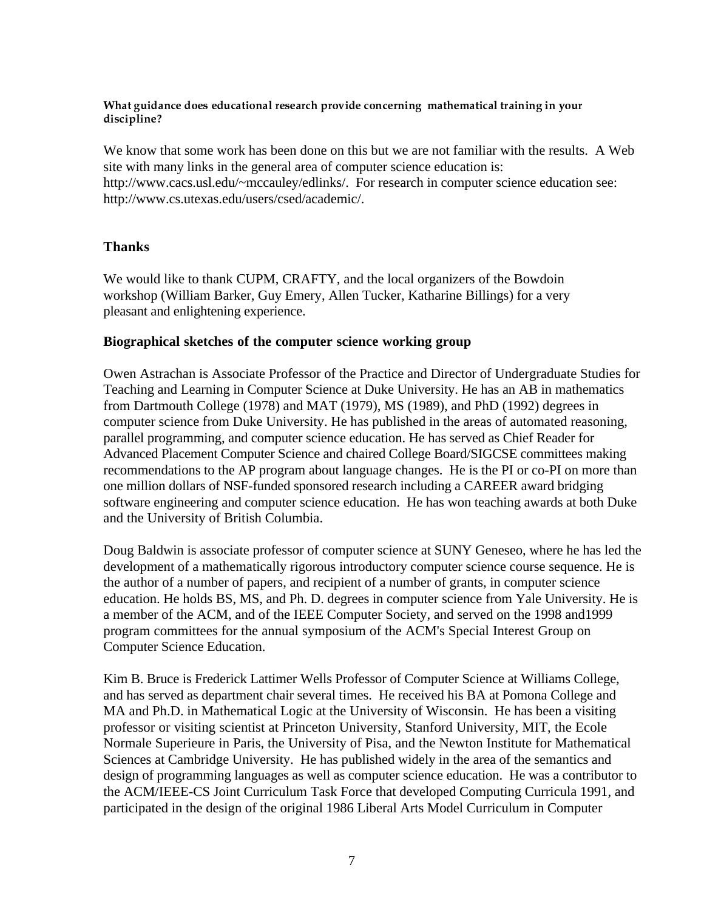What guidance does educational research provide concerning mathematical training in vour discipline?

We know that some work has been done on this but we are not familiar with the results. A Web site with many links in the general area of computer science education is: http://www.cacs.usl.edu/~mccauley/edlinks/. For research in computer science education see: http://www.cs.utexas.edu/users/csed/academic/.

## **Thanks**

We would like to thank CUPM, CRAFTY, and the local organizers of the Bowdoin workshop (William Barker, Guy Emery, Allen Tucker, Katharine Billings) for a very pleasant and enlightening experience.

## **Biographical sketches of the computer science working group**

Owen Astrachan is Associate Professor of the Practice and Director of Undergraduate Studies for Teaching and Learning in Computer Science at Duke University. He has an AB in mathematics from Dartmouth College (1978) and MAT (1979), MS (1989), and PhD (1992) degrees in computer science from Duke University. He has published in the areas of automated reasoning, parallel programming, and computer science education. He has served as Chief Reader for Advanced Placement Computer Science and chaired College Board/SIGCSE committees making recommendations to the AP program about language changes. He is the PI or co-PI on more than one million dollars of NSF-funded sponsored research including a CAREER award bridging software engineering and computer science education. He has won teaching awards at both Duke and the University of British Columbia.

Doug Baldwin is associate professor of computer science at SUNY Geneseo, where he has led the development of a mathematically rigorous introductory computer science course sequence. He is the author of a number of papers, and recipient of a number of grants, in computer science education. He holds BS, MS, and Ph. D. degrees in computer science from Yale University. He is a member of the ACM, and of the IEEE Computer Society, and served on the 1998 and1999 program committees for the annual symposium of the ACM's Special Interest Group on Computer Science Education.

Kim B. Bruce is Frederick Lattimer Wells Professor of Computer Science at Williams College, and has served as department chair several times. He received his BA at Pomona College and MA and Ph.D. in Mathematical Logic at the University of Wisconsin. He has been a visiting professor or visiting scientist at Princeton University, Stanford University, MIT, the Ecole Normale Superieure in Paris, the University of Pisa, and the Newton Institute for Mathematical Sciences at Cambridge University. He has published widely in the area of the semantics and design of programming languages as well as computer science education. He was a contributor to the ACM/IEEE-CS Joint Curriculum Task Force that developed Computing Curricula 1991, and participated in the design of the original 1986 Liberal Arts Model Curriculum in Computer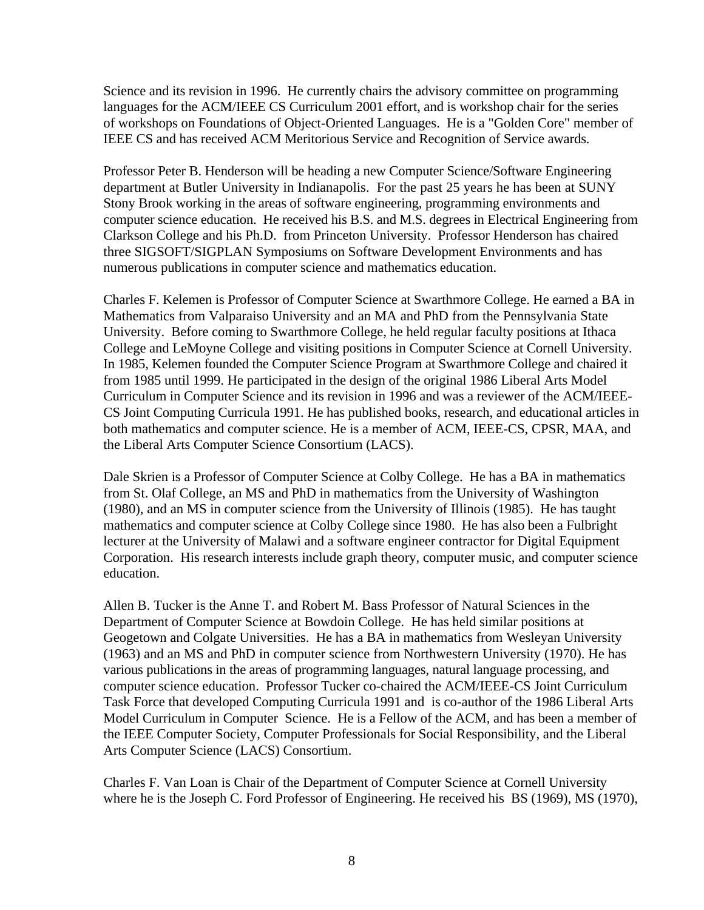Science and its revision in 1996. He currently chairs the advisory committee on programming languages for the ACM/IEEE CS Curriculum 2001 effort, and is workshop chair for the series of workshops on Foundations of Object-Oriented Languages. He is a "Golden Core" member of IEEE CS and has received ACM Meritorious Service and Recognition of Service awards.

Professor Peter B. Henderson will be heading a new Computer Science/Software Engineering department at Butler University in Indianapolis. For the past 25 years he has been at SUNY Stony Brook working in the areas of software engineering, programming environments and computer science education. He received his B.S. and M.S. degrees in Electrical Engineering from Clarkson College and his Ph.D. from Princeton University. Professor Henderson has chaired three SIGSOFT/SIGPLAN Symposiums on Software Development Environments and has numerous publications in computer science and mathematics education.

Charles F. Kelemen is Professor of Computer Science at Swarthmore College. He earned a BA in Mathematics from Valparaiso University and an MA and PhD from the Pennsylvania State University. Before coming to Swarthmore College, he held regular faculty positions at Ithaca College and LeMoyne College and visiting positions in Computer Science at Cornell University. In 1985, Kelemen founded the Computer Science Program at Swarthmore College and chaired it from 1985 until 1999. He participated in the design of the original 1986 Liberal Arts Model Curriculum in Computer Science and its revision in 1996 and was a reviewer of the ACM/IEEE-CS Joint Computing Curricula 1991. He has published books, research, and educational articles in both mathematics and computer science. He is a member of ACM, IEEE-CS, CPSR, MAA, and the Liberal Arts Computer Science Consortium (LACS).

Dale Skrien is a Professor of Computer Science at Colby College. He has a BA in mathematics from St. Olaf College, an MS and PhD in mathematics from the University of Washington (1980), and an MS in computer science from the University of Illinois (1985). He has taught mathematics and computer science at Colby College since 1980. He has also been a Fulbright lecturer at the University of Malawi and a software engineer contractor for Digital Equipment Corporation. His research interests include graph theory, computer music, and computer science education.

Allen B. Tucker is the Anne T. and Robert M. Bass Professor of Natural Sciences in the Department of Computer Science at Bowdoin College. He has held similar positions at Geogetown and Colgate Universities. He has a BA in mathematics from Wesleyan University (1963) and an MS and PhD in computer science from Northwestern University (1970). He has various publications in the areas of programming languages, natural language processing, and computer science education. Professor Tucker co-chaired the ACM/IEEE-CS Joint Curriculum Task Force that developed Computing Curricula 1991 and is co-author of the 1986 Liberal Arts Model Curriculum in Computer Science. He is a Fellow of the ACM, and has been a member of the IEEE Computer Society, Computer Professionals for Social Responsibility, and the Liberal Arts Computer Science (LACS) Consortium.

Charles F. Van Loan is Chair of the Department of Computer Science at Cornell University where he is the Joseph C. Ford Professor of Engineering. He received his BS (1969), MS (1970),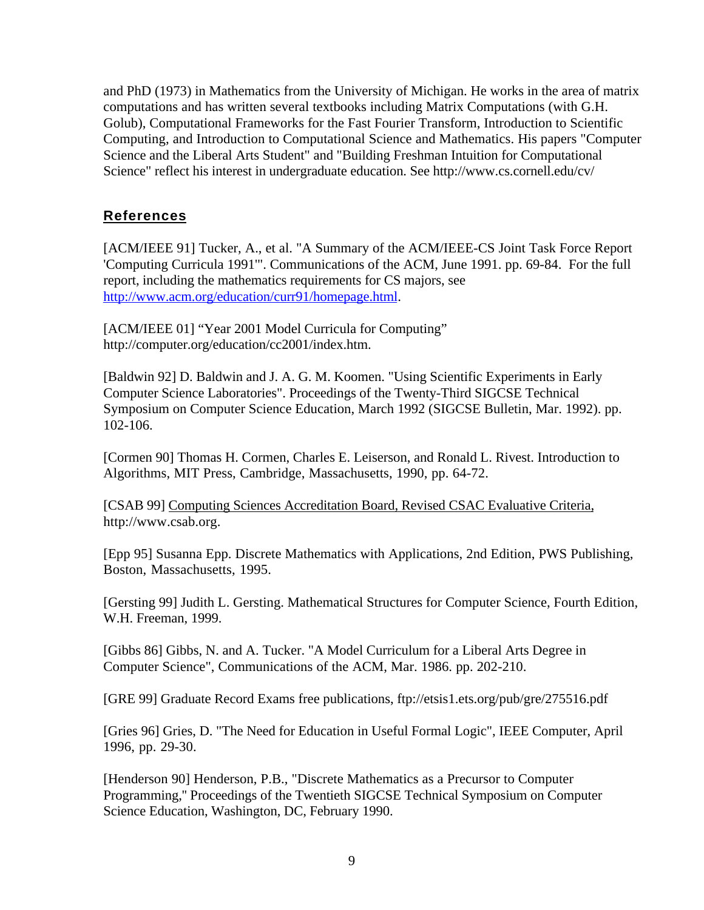and PhD (1973) in Mathematics from the University of Michigan. He works in the area of matrix computations and has written several textbooks including Matrix Computations (with G.H. Golub), Computational Frameworks for the Fast Fourier Transform, Introduction to Scientific Computing, and Introduction to Computational Science and Mathematics. His papers "Computer Science and the Liberal Arts Student" and "Building Freshman Intuition for Computational Science" reflect his interest in undergraduate education. See http://www.cs.cornell.edu/cv/

# **References**

[ACM/IEEE 91] Tucker, A., et al. "A Summary of the ACM/IEEE-CS Joint Task Force Report 'Computing Curricula 1991'". Communications of the ACM, June 1991. pp. 69-84. For the full report, including the mathematics requirements for CS majors, see http://www.acm.org/education/curr91/homepage.html.

[ACM/IEEE 01] "Year 2001 Model Curricula for Computing" http://computer.org/education/cc2001/index.htm.

[Baldwin 92] D. Baldwin and J. A. G. M. Koomen. "Using Scientific Experiments in Early Computer Science Laboratories". Proceedings of the Twenty-Third SIGCSE Technical Symposium on Computer Science Education, March 1992 (SIGCSE Bulletin, Mar. 1992). pp. 102-106.

[Cormen 90] Thomas H. Cormen, Charles E. Leiserson, and Ronald L. Rivest. Introduction to Algorithms, MIT Press, Cambridge, Massachusetts, 1990, pp. 64-72.

[CSAB 99] Computing Sciences Accreditation Board, Revised CSAC Evaluative Criteria, http://www.csab.org.

[Epp 95] Susanna Epp. Discrete Mathematics with Applications, 2nd Edition, PWS Publishing, Boston, Massachusetts, 1995.

[Gersting 99] Judith L. Gersting. Mathematical Structures for Computer Science, Fourth Edition, W.H. Freeman, 1999.

[Gibbs 86] Gibbs, N. and A. Tucker. "A Model Curriculum for a Liberal Arts Degree in Computer Science", Communications of the ACM, Mar. 1986. pp. 202-210.

[GRE 99] Graduate Record Exams free publications, ftp://etsis1.ets.org/pub/gre/275516.pdf

[Gries 96] Gries, D. "The Need for Education in Useful Formal Logic", IEEE Computer, April 1996, pp. 29-30.

[Henderson 90] Henderson, P.B., "Discrete Mathematics as a Precursor to Computer Programming,'' Proceedings of the Twentieth SIGCSE Technical Symposium on Computer Science Education, Washington, DC, February 1990.